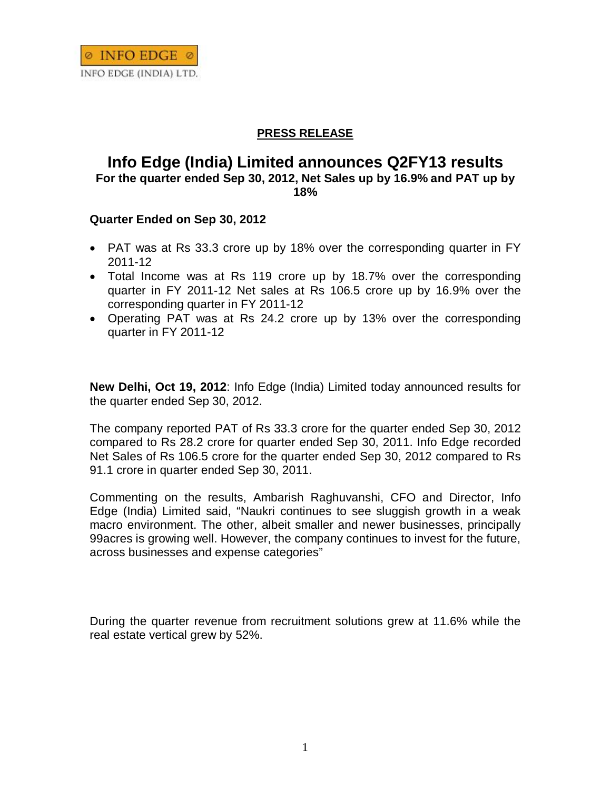

## **PRESS RELEASE**

## **Info Edge (India) Limited announces Q2FY13 results For the quarter ended Sep 30, 2012, Net Sales up by 16.9% and PAT up by 18%**

## **Quarter Ended on Sep 30, 2012**

- PAT was at Rs 33.3 crore up by 18% over the corresponding quarter in FY 2011-12
- Total Income was at Rs 119 crore up by 18.7% over the corresponding quarter in FY 2011-12 Net sales at Rs 106.5 crore up by 16.9% over the corresponding quarter in FY 2011-12
- Operating PAT was at Rs 24.2 crore up by 13% over the corresponding quarter in FY 2011-12

**New Delhi, Oct 19, 2012**: Info Edge (India) Limited today announced results for the quarter ended Sep 30, 2012.

The company reported PAT of Rs 33.3 crore for the quarter ended Sep 30, 2012 compared to Rs 28.2 crore for quarter ended Sep 30, 2011. Info Edge recorded Net Sales of Rs 106.5 crore for the quarter ended Sep 30, 2012 compared to Rs 91.1 crore in quarter ended Sep 30, 2011.

Commenting on the results, Ambarish Raghuvanshi, CFO and Director, Info Edge (India) Limited said, "Naukri continues to see sluggish growth in a weak macro environment. The other, albeit smaller and newer businesses, principally 99acres is growing well. However, the company continues to invest for the future, across businesses and expense categories"

During the quarter revenue from recruitment solutions grew at 11.6% while the real estate vertical grew by 52%.